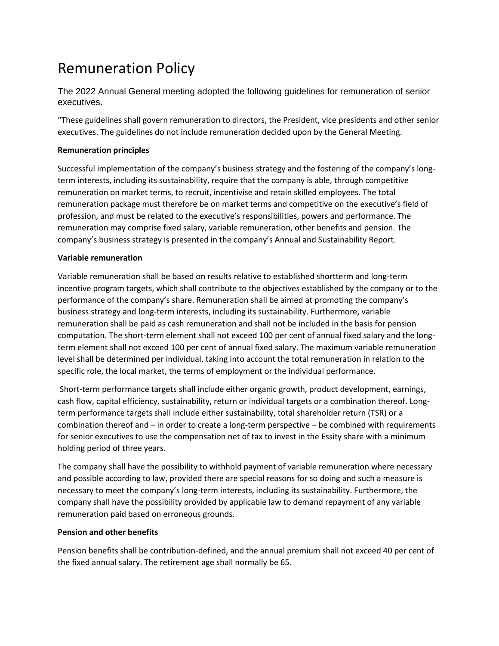# Remuneration Policy

The 2022 Annual General meeting adopted the following guidelines for remuneration of senior executives.

"These guidelines shall govern remuneration to directors, the President, vice presidents and other senior executives. The guidelines do not include remuneration decided upon by the General Meeting.

## **Remuneration principles**

Successful implementation of the company's business strategy and the fostering of the company's longterm interests, including its sustainability, require that the company is able, through competitive remuneration on market terms, to recruit, incentivise and retain skilled employees. The total remuneration package must therefore be on market terms and competitive on the executive's field of profession, and must be related to the executive's responsibilities, powers and performance. The remuneration may comprise fixed salary, variable remuneration, other benefits and pension. The company's business strategy is presented in the company's Annual and Sustainability Report.

### **Variable remuneration**

Variable remuneration shall be based on results relative to established shortterm and long-term incentive program targets, which shall contribute to the objectives established by the company or to the performance of the company's share. Remuneration shall be aimed at promoting the company's business strategy and long-term interests, including its sustainability. Furthermore, variable remuneration shall be paid as cash remuneration and shall not be included in the basis for pension computation. The short-term element shall not exceed 100 per cent of annual fixed salary and the longterm element shall not exceed 100 per cent of annual fixed salary. The maximum variable remuneration level shall be determined per individual, taking into account the total remuneration in relation to the specific role, the local market, the terms of employment or the individual performance.

Short-term performance targets shall include either organic growth, product development, earnings, cash flow, capital efficiency, sustainability, return or individual targets or a combination thereof. Longterm performance targets shall include either sustainability, total shareholder return (TSR) or a combination thereof and – in order to create a long-term perspective – be combined with requirements for senior executives to use the compensation net of tax to invest in the Essity share with a minimum holding period of three years.

The company shall have the possibility to withhold payment of variable remuneration where necessary and possible according to law, provided there are special reasons for so doing and such a measure is necessary to meet the company's long-term interests, including its sustainability. Furthermore, the company shall have the possibility provided by applicable law to demand repayment of any variable remuneration paid based on erroneous grounds.

### **Pension and other benefits**

Pension benefits shall be contribution-defined, and the annual premium shall not exceed 40 per cent of the fixed annual salary. The retirement age shall normally be 65.